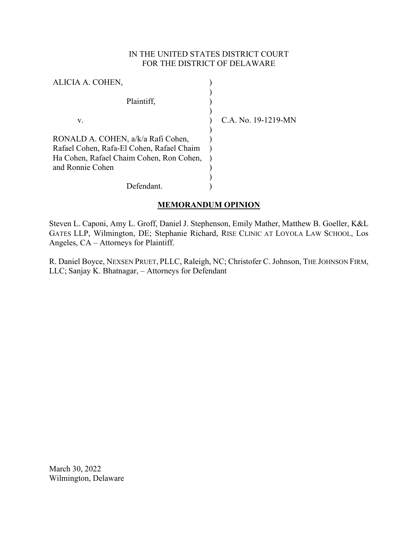# IN THE UNITED STATES DISTRICT COURT FOR THE DISTRICT OF DELAWARE

| ALICIA A. COHEN,                                                                                                                                |                     |
|-------------------------------------------------------------------------------------------------------------------------------------------------|---------------------|
| Plaintiff,                                                                                                                                      |                     |
| V.                                                                                                                                              | C.A. No. 19-1219-MN |
| RONALD A. COHEN, a/k/a Rafi Cohen,<br>Rafael Cohen, Rafa-El Cohen, Rafael Chaim<br>Ha Cohen, Rafael Chaim Cohen, Ron Cohen,<br>and Ronnie Cohen |                     |
| Defendant                                                                                                                                       |                     |

# **MEMORANDUM OPINION**

Steven L. Caponi, Amy L. Groff, Daniel J. Stephenson, Emily Mather, Matthew B. Goeller, K&L GATES LLP, Wilmington, DE; Stephanie Richard, RISE CLINIC AT LOYOLA LAW SCHOOL, Los Angeles, CA – Attorneys for Plaintiff.

R. Daniel Boyce, NEXSEN PRUET, PLLC, Raleigh, NC; Christofer C. Johnson, THE JOHNSON FIRM, LLC; Sanjay K. Bhatnagar, – Attorneys for Defendant

March 30, 2022 Wilmington, Delaware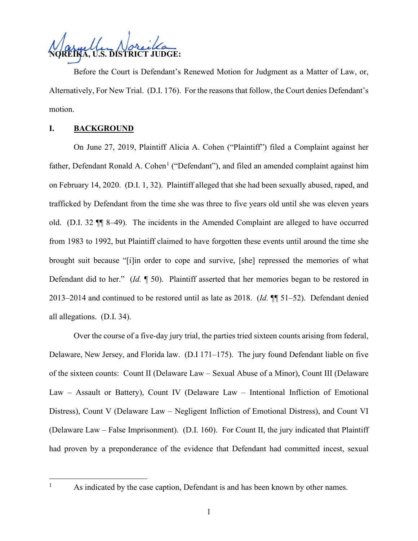

Before the Court is Defendant's Renewed Motion for Judgment as a Matter of Law, or, Alternatively, For New Trial. (D.I. 176). For the reasons that follow, the Court denies Defendant's motion.

## **I. BACKGROUND**

On June 27, 2019, Plaintiff Alicia A. Cohen ("Plaintiff") filed a Complaint against her father, Defendant Ronald A. Cohen<sup>[1](#page-1-0)</sup> ("Defendant"), and filed an amended complaint against him on February 14, 2020. (D.I. 1, 32). Plaintiff alleged that she had been sexually abused, raped, and trafficked by Defendant from the time she was three to five years old until she was eleven years old. (D.I. 32 ¶¶ 8–49). The incidents in the Amended Complaint are alleged to have occurred from 1983 to 1992, but Plaintiff claimed to have forgotten these events until around the time she brought suit because "[i]in order to cope and survive, [she] repressed the memories of what Defendant did to her." (*Id.* ¶ 50). Plaintiff asserted that her memories began to be restored in 2013–2014 and continued to be restored until as late as 2018. (*Id.* ¶¶ 51–52). Defendant denied all allegations. (D.I. 34).

Over the course of a five-day jury trial, the parties tried sixteen counts arising from federal, Delaware, New Jersey, and Florida law. (D.I 171–175). The jury found Defendant liable on five of the sixteen counts: Count II (Delaware Law – Sexual Abuse of a Minor), Count III (Delaware Law – Assault or Battery), Count IV (Delaware Law – Intentional Infliction of Emotional Distress), Count V (Delaware Law – Negligent Infliction of Emotional Distress), and Count VI (Delaware Law – False Imprisonment). (D.I. 160). For Count II, the jury indicated that Plaintiff had proven by a preponderance of the evidence that Defendant had committed incest, sexual

<span id="page-1-0"></span>

<sup>&</sup>lt;sup>1</sup> As indicated by the case caption, Defendant is and has been known by other names.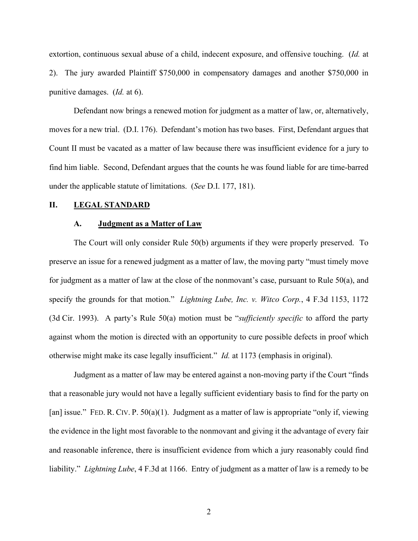extortion, continuous sexual abuse of a child, indecent exposure, and offensive touching. (*Id.* at 2). The jury awarded Plaintiff \$750,000 in compensatory damages and another \$750,000 in punitive damages. (*Id.* at 6).

Defendant now brings a renewed motion for judgment as a matter of law, or, alternatively, moves for a new trial. (D.I. 176). Defendant's motion has two bases. First, Defendant argues that Count II must be vacated as a matter of law because there was insufficient evidence for a jury to find him liable. Second, Defendant argues that the counts he was found liable for are time-barred under the applicable statute of limitations. (*See* D.I. 177, 181).

## **II. LEGAL STANDARD**

#### **A. Judgment as a Matter of Law**

The Court will only consider Rule 50(b) arguments if they were properly preserved. To preserve an issue for a renewed judgment as a matter of law, the moving party "must timely move for judgment as a matter of law at the close of the nonmovant's case, pursuant to Rule 50(a), and specify the grounds for that motion." *Lightning Lube, Inc. v. Witco Corp.*, 4 F.3d 1153, 1172 (3d Cir. 1993). A party's Rule 50(a) motion must be "*sufficiently specific* to afford the party against whom the motion is directed with an opportunity to cure possible defects in proof which otherwise might make its case legally insufficient." *Id.* at 1173 (emphasis in original).

Judgment as a matter of law may be entered against a non-moving party if the Court "finds that a reasonable jury would not have a legally sufficient evidentiary basis to find for the party on [an] issue." FED. R. CIV. P. 50(a)(1). Judgment as a matter of law is appropriate "only if, viewing the evidence in the light most favorable to the nonmovant and giving it the advantage of every fair and reasonable inference, there is insufficient evidence from which a jury reasonably could find liability." *Lightning Lube*, 4 F.3d at 1166. Entry of judgment as a matter of law is a remedy to be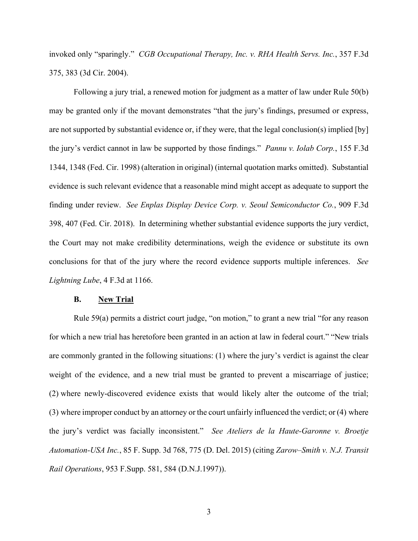invoked only "sparingly." *CGB Occupational Therapy, Inc. v. RHA Health Servs. Inc.*, 357 F.3d 375, 383 (3d Cir. 2004).

Following a jury trial, a renewed motion for judgment as a matter of law under Rule 50(b) may be granted only if the movant demonstrates "that the jury's findings, presumed or express, are not supported by substantial evidence or, if they were, that the legal conclusion(s) implied [by] the jury's verdict cannot in law be supported by those findings." *Pannu v. Iolab Corp.*, 155 F.3d 1344, 1348 (Fed. Cir. 1998) (alteration in original) (internal quotation marks omitted). Substantial evidence is such relevant evidence that a reasonable mind might accept as adequate to support the finding under review. *See Enplas Display Device Corp. v. Seoul Semiconductor Co.*, 909 F.3d 398, 407 (Fed. Cir. 2018). In determining whether substantial evidence supports the jury verdict, the Court may not make credibility determinations, weigh the evidence or substitute its own conclusions for that of the jury where the record evidence supports multiple inferences. *See Lightning Lube*, 4 F.3d at 1166.

#### **B. New Trial**

Rule 59(a) permits a district court judge, "on motion," to grant a new trial "for any reason for which a new trial has heretofore been granted in an action at law in federal court." "New trials are commonly granted in the following situations: (1) where the jury's verdict is against the clear weight of the evidence, and a new trial must be granted to prevent a miscarriage of justice; (2) where newly-discovered evidence exists that would likely alter the outcome of the trial; (3) where improper conduct by an attorney or the court unfairly influenced the verdict; or (4) where the jury's verdict was facially inconsistent." *See Ateliers de la Haute-Garonne v. Broetje Automation-USA Inc.*, 85 F. Supp. 3d 768, 775 (D. Del. 2015) (citing *Zarow–Smith v. N.J. Transit Rail Operations*, 953 F.Supp. 581, 584 (D.N.J.1997)).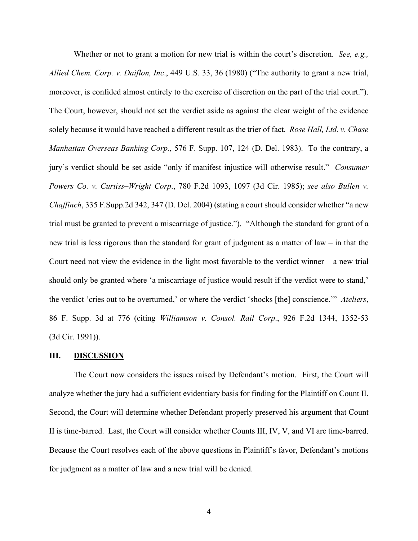Whether or not to grant a motion for new trial is within the court's discretion. *See, e.g., Allied Chem. Corp. v. Daiflon, Inc*., 449 U.S. 33, 36 (1980) ("The authority to grant a new trial, moreover, is confided almost entirely to the exercise of discretion on the part of the trial court."). The Court, however, should not set the verdict aside as against the clear weight of the evidence solely because it would have reached a different result as the trier of fact. *Rose Hall, Ltd. v. Chase Manhattan Overseas Banking Corp.*, 576 F. Supp. 107, 124 (D. Del. 1983). To the contrary, a jury's verdict should be set aside "only if manifest injustice will otherwise result." *Consumer Powers Co. v. Curtiss–Wright Corp*., 780 F.2d 1093, 1097 (3d Cir. 1985); *see also Bullen v. Chaffinch*, 335 F.Supp.2d 342, 347 (D. Del. 2004) (stating a court should consider whether "a new trial must be granted to prevent a miscarriage of justice."). "Although the standard for grant of a new trial is less rigorous than the standard for grant of judgment as a matter of law – in that the Court need not view the evidence in the light most favorable to the verdict winner – a new trial should only be granted where 'a miscarriage of justice would result if the verdict were to stand,' the verdict 'cries out to be overturned,' or where the verdict 'shocks [the] conscience.'" *Ateliers*, 86 F. Supp. 3d at 776 (citing *Williamson v. Consol. Rail Corp*., 926 F.2d 1344, 1352-53 (3d Cir. 1991)).

#### **III. DISCUSSION**

The Court now considers the issues raised by Defendant's motion. First, the Court will analyze whether the jury had a sufficient evidentiary basis for finding for the Plaintiff on Count II. Second, the Court will determine whether Defendant properly preserved his argument that Count II is time-barred. Last, the Court will consider whether Counts III, IV, V, and VI are time-barred. Because the Court resolves each of the above questions in Plaintiff's favor, Defendant's motions for judgment as a matter of law and a new trial will be denied.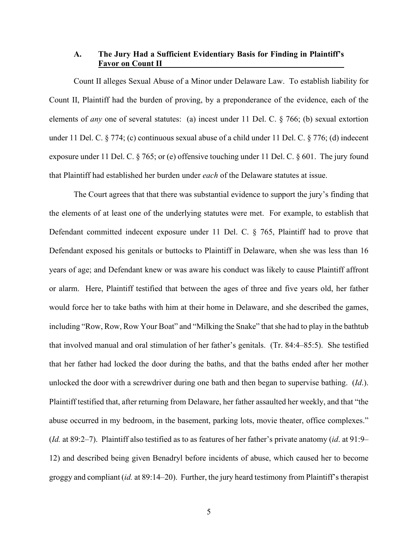## **A. The Jury Had a Sufficient Evidentiary Basis for Finding in Plaintiff's Favor on Count II**

Count II alleges Sexual Abuse of a Minor under Delaware Law. To establish liability for Count II, Plaintiff had the burden of proving, by a preponderance of the evidence, each of the elements of *any* one of several statutes: (a) incest under 11 Del. C. § 766; (b) sexual extortion under 11 Del. C. § 774; (c) continuous sexual abuse of a child under 11 Del. C. § 776; (d) indecent exposure under 11 Del. C. § 765; or (e) offensive touching under 11 Del. C. § 601. The jury found that Plaintiff had established her burden under *each* of the Delaware statutes at issue.

The Court agrees that that there was substantial evidence to support the jury's finding that the elements of at least one of the underlying statutes were met. For example, to establish that Defendant committed indecent exposure under 11 Del. C. § 765, Plaintiff had to prove that Defendant exposed his genitals or buttocks to Plaintiff in Delaware, when she was less than 16 years of age; and Defendant knew or was aware his conduct was likely to cause Plaintiff affront or alarm. Here, Plaintiff testified that between the ages of three and five years old, her father would force her to take baths with him at their home in Delaware, and she described the games, including "Row, Row, Row Your Boat" and "Milking the Snake" that she had to play in the bathtub that involved manual and oral stimulation of her father's genitals. (Tr. 84:4–85:5). She testified that her father had locked the door during the baths, and that the baths ended after her mother unlocked the door with a screwdriver during one bath and then began to supervise bathing. (*Id*.). Plaintiff testified that, after returning from Delaware, her father assaulted her weekly, and that "the abuse occurred in my bedroom, in the basement, parking lots, movie theater, office complexes." (*Id.* at 89:2–7). Plaintiff also testified as to as features of her father's private anatomy (*id*. at 91:9– 12) and described being given Benadryl before incidents of abuse, which caused her to become groggy and compliant (*id.* at 89:14–20). Further, the jury heard testimony from Plaintiff's therapist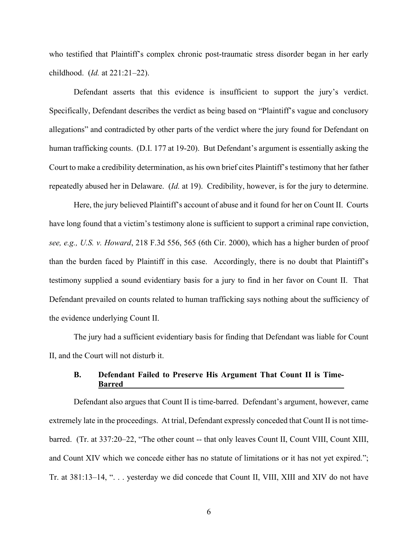who testified that Plaintiff's complex chronic post-traumatic stress disorder began in her early childhood. (*Id.* at 221:21–22).

Defendant asserts that this evidence is insufficient to support the jury's verdict. Specifically, Defendant describes the verdict as being based on "Plaintiff's vague and conclusory allegations" and contradicted by other parts of the verdict where the jury found for Defendant on human trafficking counts. (D.I. 177 at 19-20). But Defendant's argument is essentially asking the Court to make a credibility determination, as his own brief cites Plaintiff's testimony that her father repeatedly abused her in Delaware. (*Id.* at 19). Credibility, however, is for the jury to determine.

Here, the jury believed Plaintiff's account of abuse and it found for her on Count II. Courts have long found that a victim's testimony alone is sufficient to support a criminal rape conviction, *see, e.g., U.S. v. Howard*, 218 F.3d 556, 565 (6th Cir. 2000), which has a higher burden of proof than the burden faced by Plaintiff in this case. Accordingly, there is no doubt that Plaintiff's testimony supplied a sound evidentiary basis for a jury to find in her favor on Count II. That Defendant prevailed on counts related to human trafficking says nothing about the sufficiency of the evidence underlying Count II.

The jury had a sufficient evidentiary basis for finding that Defendant was liable for Count II, and the Court will not disturb it.

## **B. Defendant Failed to Preserve His Argument That Count II is Time-Barred**

Defendant also argues that Count II is time-barred. Defendant's argument, however, came extremely late in the proceedings. At trial, Defendant expressly conceded that Count II is not timebarred. (Tr. at 337:20–22, "The other count -- that only leaves Count II, Count VIII, Count XIII, and Count XIV which we concede either has no statute of limitations or it has not yet expired."; Tr. at 381:13–14, ". . . yesterday we did concede that Count II, VIII, XIII and XIV do not have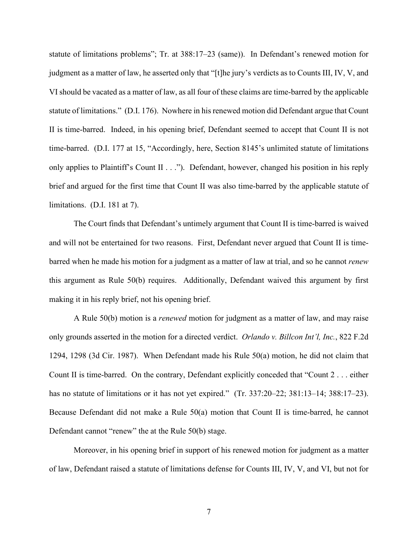statute of limitations problems"; Tr. at 388:17–23 (same)). In Defendant's renewed motion for judgment as a matter of law, he asserted only that "[t]he jury's verdicts as to Counts III, IV, V, and VI should be vacated as a matter of law, as all four of these claims are time-barred by the applicable statute of limitations." (D.I. 176). Nowhere in his renewed motion did Defendant argue that Count II is time-barred. Indeed, in his opening brief, Defendant seemed to accept that Count II is not time-barred. (D.I. 177 at 15, "Accordingly, here, Section 8145's unlimited statute of limitations only applies to Plaintiff's Count II . . ."). Defendant, however, changed his position in his reply brief and argued for the first time that Count II was also time-barred by the applicable statute of limitations. (D.I. 181 at 7).

The Court finds that Defendant's untimely argument that Count II is time-barred is waived and will not be entertained for two reasons. First, Defendant never argued that Count II is timebarred when he made his motion for a judgment as a matter of law at trial, and so he cannot *renew*  this argument as Rule 50(b) requires. Additionally, Defendant waived this argument by first making it in his reply brief, not his opening brief.

A Rule 50(b) motion is a *renewed* motion for judgment as a matter of law, and may raise only grounds asserted in the motion for a directed verdict. *Orlando v. Billcon Int'l, Inc.*, 822 F.2d 1294, 1298 (3d Cir. 1987). When Defendant made his Rule 50(a) motion, he did not claim that Count II is time-barred. On the contrary, Defendant explicitly conceded that "Count 2 . . . either has no statute of limitations or it has not yet expired." (Tr. 337:20–22; 381:13–14; 388:17–23). Because Defendant did not make a Rule 50(a) motion that Count II is time-barred, he cannot Defendant cannot "renew" the at the Rule 50(b) stage.

Moreover, in his opening brief in support of his renewed motion for judgment as a matter of law, Defendant raised a statute of limitations defense for Counts III, IV, V, and VI, but not for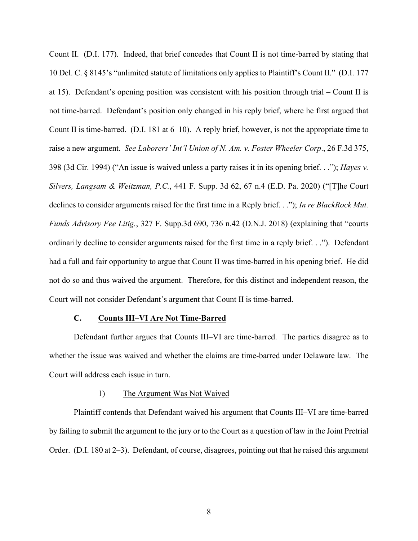Count II. (D.I. 177). Indeed, that brief concedes that Count II is not time-barred by stating that 10 Del. C. § 8145's "unlimited statute of limitations only applies to Plaintiff's Count II." (D.I. 177 at 15). Defendant's opening position was consistent with his position through trial – Count II is not time-barred. Defendant's position only changed in his reply brief, where he first argued that Count II is time-barred. (D.I. 181 at  $6-10$ ). A reply brief, however, is not the appropriate time to raise a new argument. *See Laborers' Int'l Union of N. Am. v. Foster Wheeler Corp*., 26 F.3d 375, 398 (3d Cir. 1994) ("An issue is waived unless a party raises it in its opening brief. . ."); *Hayes v. Silvers, Langsam & Weitzman, P.C.*, 441 F. Supp. 3d 62, 67 n.4 (E.D. Pa. 2020) ("[T]he Court declines to consider arguments raised for the first time in a Reply brief. . ."); *In re BlackRock Mut. Funds Advisory Fee Litig.*, 327 F. Supp.3d 690, 736 n.42 (D.N.J. 2018) (explaining that "courts ordinarily decline to consider arguments raised for the first time in a reply brief. . ."). Defendant had a full and fair opportunity to argue that Count II was time-barred in his opening brief. He did not do so and thus waived the argument. Therefore, for this distinct and independent reason, the Court will not consider Defendant's argument that Count II is time-barred.

### **C. Counts III–VI Are Not Time-Barred**

Defendant further argues that Counts III–VI are time-barred. The parties disagree as to whether the issue was waived and whether the claims are time-barred under Delaware law. The Court will address each issue in turn.

#### 1) The Argument Was Not Waived

Plaintiff contends that Defendant waived his argument that Counts III–VI are time-barred by failing to submit the argument to the jury or to the Court as a question of law in the Joint Pretrial Order. (D.I. 180 at 2–3). Defendant, of course, disagrees, pointing out that he raised this argument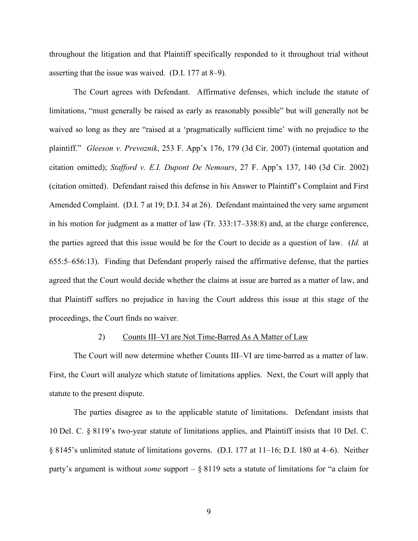throughout the litigation and that Plaintiff specifically responded to it throughout trial without asserting that the issue was waived. (D.I. 177 at 8–9).

The Court agrees with Defendant. Affirmative defenses, which include the statute of limitations, "must generally be raised as early as reasonably possible" but will generally not be waived so long as they are "raised at a 'pragmatically sufficient time' with no prejudice to the plaintiff." *Gleeson v. Prevoznik*, 253 F. App'x 176, 179 (3d Cir. 2007) (internal quotation and citation omitted); *Stafford v. E.I. Dupont De Nemours*, 27 F. App'x 137, 140 (3d Cir. 2002) (citation omitted). Defendant raised this defense in his Answer to Plaintiff's Complaint and First Amended Complaint. (D.I. 7 at 19; D.I. 34 at 26). Defendant maintained the very same argument in his motion for judgment as a matter of law (Tr. 333:17–338:8) and, at the charge conference, the parties agreed that this issue would be for the Court to decide as a question of law. (*Id.* at 655:5–656:13). Finding that Defendant properly raised the affirmative defense, that the parties agreed that the Court would decide whether the claims at issue are barred as a matter of law, and that Plaintiff suffers no prejudice in having the Court address this issue at this stage of the proceedings, the Court finds no waiver.

### 2) Counts III–VI are Not Time-Barred As A Matter of Law

The Court will now determine whether Counts III–VI are time-barred as a matter of law. First, the Court will analyze which statute of limitations applies. Next, the Court will apply that statute to the present dispute.

The parties disagree as to the applicable statute of limitations. Defendant insists that 10 Del. C. § 8119's two-year statute of limitations applies, and Plaintiff insists that 10 Del. C. § 8145's unlimited statute of limitations governs. (D.I. 177 at 11–16; D.I. 180 at 4–6). Neither party's argument is without *some* support – § 8119 sets a statute of limitations for "a claim for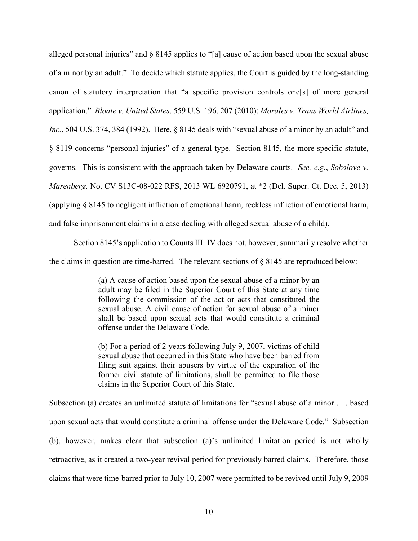alleged personal injuries" and § 8145 applies to "[a] cause of action based upon the sexual abuse of a minor by an adult." To decide which statute applies, the Court is guided by the long-standing canon of statutory interpretation that "a specific provision controls one[s] of more general application." *Bloate v. United States*, 559 U.S. 196, 207 (2010); *Morales v. Trans World Airlines, Inc.*, 504 U.S. 374, 384 (1992). Here, § 8145 deals with "sexual abuse of a minor by an adult" and § 8119 concerns "personal injuries" of a general type. Section 8145, the more specific statute, governs. This is consistent with the approach taken by Delaware courts. *See, e.g.*, *Sokolove v. Marenberg,* No. CV S13C-08-022 RFS, 2013 WL 6920791, at \*2 (Del. Super. Ct. Dec. 5, 2013) (applying § 8145 to negligent infliction of emotional harm, reckless infliction of emotional harm, and false imprisonment claims in a case dealing with alleged sexual abuse of a child).

Section 8145's application to Counts III–IV does not, however, summarily resolve whether the claims in question are time-barred. The relevant sections of  $\S$  8145 are reproduced below:

> (a) A cause of action based upon the sexual abuse of a minor by an adult may be filed in the Superior Court of this State at any time following the commission of the act or acts that constituted the sexual abuse. A civil cause of action for sexual abuse of a minor shall be based upon sexual acts that would constitute a criminal offense under the Delaware Code.

> (b) For a period of 2 years following July 9, 2007, victims of child sexual abuse that occurred in this State who have been barred from filing suit against their abusers by virtue of the expiration of the former civil statute of limitations, shall be permitted to file those claims in the Superior Court of this State.

Subsection (a) creates an unlimited statute of limitations for "sexual abuse of a minor . . . based upon sexual acts that would constitute a criminal offense under the Delaware Code." Subsection (b), however, makes clear that subsection (a)'s unlimited limitation period is not wholly retroactive, as it created a two-year revival period for previously barred claims. Therefore, those claims that were time-barred prior to July 10, 2007 were permitted to be revived until July 9, 2009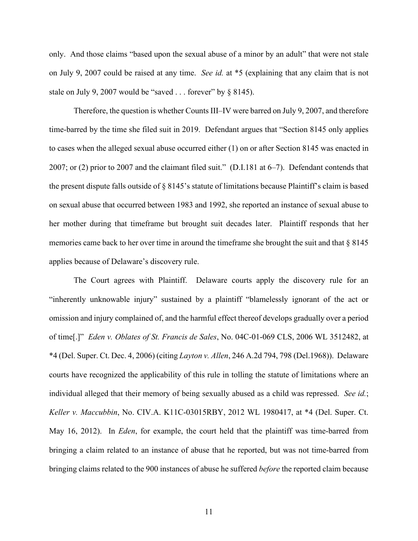only. And those claims "based upon the sexual abuse of a minor by an adult" that were not stale on July 9, 2007 could be raised at any time. *See id.* at \*5 (explaining that any claim that is not stale on July 9, 2007 would be "saved . . . forever" by § 8145).

Therefore, the question is whether Counts III–IV were barred on July 9, 2007, and therefore time-barred by the time she filed suit in 2019. Defendant argues that "Section 8145 only applies to cases when the alleged sexual abuse occurred either (1) on or after Section 8145 was enacted in 2007; or (2) prior to 2007 and the claimant filed suit." (D.I.181 at 6–7). Defendant contends that the present dispute falls outside of § 8145's statute of limitations because Plaintiff's claim is based on sexual abuse that occurred between 1983 and 1992, she reported an instance of sexual abuse to her mother during that timeframe but brought suit decades later. Plaintiff responds that her memories came back to her over time in around the timeframe she brought the suit and that § 8145 applies because of Delaware's discovery rule.

The Court agrees with Plaintiff. Delaware courts apply the discovery rule for an "inherently unknowable injury" sustained by a plaintiff "blamelessly ignorant of the act or omission and injury complained of, and the harmful effect thereof develops gradually over a period of time[.]" *Eden v. Oblates of St. Francis de Sales*, No. 04C-01-069 CLS, 2006 WL 3512482, at \*4 (Del. Super. Ct. Dec. 4, 2006) (citing *Layton v. Allen*, 246 A.2d 794, 798 (Del.1968)). Delaware courts have recognized the applicability of this rule in tolling the statute of limitations where an individual alleged that their memory of being sexually abused as a child was repressed. *See id.*; *Keller v. Maccubbin*, No. CIV.A. K11C-03015RBY, 2012 WL 1980417, at \*4 (Del. Super. Ct. May 16, 2012). In *Eden*, for example, the court held that the plaintiff was time-barred from bringing a claim related to an instance of abuse that he reported, but was not time-barred from bringing claims related to the 900 instances of abuse he suffered *before* the reported claim because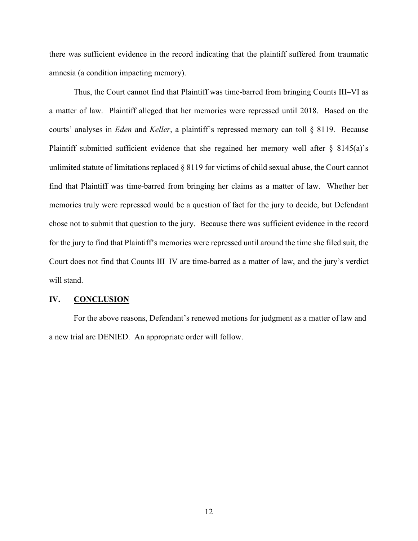there was sufficient evidence in the record indicating that the plaintiff suffered from traumatic amnesia (a condition impacting memory).

Thus, the Court cannot find that Plaintiff was time-barred from bringing Counts III–VI as a matter of law. Plaintiff alleged that her memories were repressed until 2018. Based on the courts' analyses in *Eden* and *Keller*, a plaintiff's repressed memory can toll § 8119. Because Plaintiff submitted sufficient evidence that she regained her memory well after § 8145(a)'s unlimited statute of limitations replaced § 8119 for victims of child sexual abuse, the Court cannot find that Plaintiff was time-barred from bringing her claims as a matter of law. Whether her memories truly were repressed would be a question of fact for the jury to decide, but Defendant chose not to submit that question to the jury. Because there was sufficient evidence in the record for the jury to find that Plaintiff's memories were repressed until around the time she filed suit, the Court does not find that Counts III–IV are time-barred as a matter of law, and the jury's verdict will stand.

### **IV. CONCLUSION**

For the above reasons, Defendant's renewed motions for judgment as a matter of law and a new trial are DENIED. An appropriate order will follow.